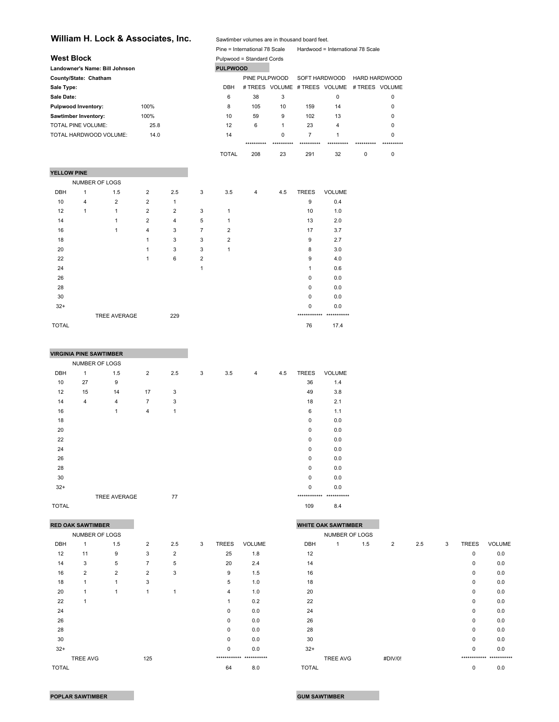## William H. Lock & Associates, Inc. Sawtimber volumes are in thousand board feet.

|                    |                            |                                |                |     |   |                 | Pine = International 78 Scale |             |                | Hardwood = International 78 Scale            |               |   |
|--------------------|----------------------------|--------------------------------|----------------|-----|---|-----------------|-------------------------------|-------------|----------------|----------------------------------------------|---------------|---|
| <b>West Block</b>  |                            |                                |                |     |   |                 | Pulpwood = Standard Cords     |             |                |                                              |               |   |
|                    |                            | Landowner's Name: Bill Johnson |                |     |   | <b>PULPWOOD</b> |                               |             |                |                                              |               |   |
|                    | County/State: Chatham      |                                |                |     |   |                 | PINE PULPWOOD                 |             | SOFT HARDWOOD  |                                              | HARD HARDWOOD |   |
| Sale Type:         |                            |                                |                |     |   | <b>DBH</b>      |                               |             |                | # TREES VOLUME # TREES VOLUME # TREES VOLUME |               |   |
| Sale Date:         |                            |                                |                |     |   | 6               | 38                            | 3           |                | 0                                            |               | 0 |
|                    | <b>Pulpwood Inventory:</b> |                                | 100%           |     |   | 8               | 105                           | 10          | 159            | 14                                           |               | 0 |
|                    | Sawtimber Inventory:       |                                | 100%           |     |   | 10              | 59                            | 9           | 102            | 13                                           |               | 0 |
|                    | <b>TOTAL PINE VOLUME:</b>  |                                | 25.8           |     |   | 12              | 6                             | 1           | 23             | 4                                            |               | 0 |
|                    |                            | TOTAL HARDWOOD VOLUME:         | 14.0           |     |   | 14              |                               | $\mathbf 0$ | $\overline{7}$ | 1                                            |               | 0 |
|                    |                            |                                |                |     |   |                 | **********                    |             |                |                                              |               |   |
|                    |                            |                                |                |     |   | <b>TOTAL</b>    | 208                           | 23          | 291            | 32                                           | 0             | 0 |
| <b>YELLOW PINE</b> |                            |                                |                |     |   |                 |                               |             |                |                                              |               |   |
|                    | <b>NUMBER OF LOGS</b>      |                                |                |     |   |                 |                               |             |                |                                              |               |   |
| <b>DBH</b>         | 1                          | 1.5                            | $\overline{2}$ | 2.5 | 3 | 3.5             | 4                             | 4.5         | <b>TREES</b>   | <b>VOLUME</b>                                |               |   |
| 10                 | 4                          | $\overline{2}$                 | 2              | 1   |   |                 |                               |             | 9              | 0.4                                          |               |   |
| 12                 | 1                          | 1                              | $\overline{2}$ | 2   | 3 | 1               |                               |             | 10             | 1.0                                          |               |   |
| 14                 |                            | 1                              | 2              | 4   | 5 | 1               |                               |             | 13             | 2.0                                          |               |   |
| 16                 |                            | 1                              | 4              | 3   | 7 | $\overline{2}$  |                               |             | 17             | 3.7                                          |               |   |
| 18                 |                            |                                | 1              | 3   | 3 | 2               |                               |             | 9              | 2.7                                          |               |   |

TREE AVERAGE 229 \*\*\*\*\*\*\*\*\*\*\*\* \*\*\*\*\*\*\*\*\*\*\*

|       | <b>VIRGINIA PINE SAWTIMBER</b> |                |                |     |   |     |                |     |              |               |
|-------|--------------------------------|----------------|----------------|-----|---|-----|----------------|-----|--------------|---------------|
|       | NUMBER OF LOGS                 |                |                |     |   |     |                |     |              |               |
| DBH   | 1                              | 1.5            | $\overline{2}$ | 2.5 | 3 | 3.5 | $\overline{4}$ | 4.5 | <b>TREES</b> | <b>VOLUME</b> |
| 10    | 27                             | 9              |                |     |   |     |                |     | 36           | 1.4           |
| 12    | 15                             | 14             | 17             | 3   |   |     |                |     | 49           | 3.8           |
| 14    | 4                              | $\overline{4}$ | $\overline{7}$ | 3   |   |     |                |     | 18           | 2.1           |
| 16    |                                | 1              | $\overline{4}$ | 1   |   |     |                |     | 6            | 1.1           |
| 18    |                                |                |                |     |   |     |                |     | $\mathbf 0$  | 0.0           |
| 20    |                                |                |                |     |   |     |                |     | 0            | 0.0           |
| 22    |                                |                |                |     |   |     |                |     | $\mathbf 0$  | 0.0           |
| 24    |                                |                |                |     |   |     |                |     | 0            | 0.0           |
| 26    |                                |                |                |     |   |     |                |     | 0            | 0.0           |
| 28    |                                |                |                |     |   |     |                |     | 0            | 0.0           |
| 30    |                                |                |                |     |   |     |                |     | $\Omega$     | 0.0           |
| $32+$ |                                |                |                |     |   |     |                |     | $\Omega$     | 0.0           |
|       |                                | TREE AVERAGE   |                | 77  |   |     |                |     | ************ | ***********   |

20 20 1 3 3 3 1 8 3.0 22 1 6 2 9 4.0 24 24 25 26 27 28 27 28 27 28 27 28 27 28 27 28 27 28 27 28 27 28 28 28 28 28 28 28 28 28 28 28 28 2 26 0 0.0 28 0 0.0  $30$  0 0.0  $32+$  0 0.0

 $\blacksquare$  TOTAL  $\blacksquare$  76  $\blacksquare$  17.4

#### TOTAL 109 8.4

|              | <b>RED OAK SAWTIMBER</b> |                |                |                |   |              |                          |              | <b>WHITE OAK SAWTIMBER</b> |     |         |     |   |              |                         |
|--------------|--------------------------|----------------|----------------|----------------|---|--------------|--------------------------|--------------|----------------------------|-----|---------|-----|---|--------------|-------------------------|
|              | NUMBER OF LOGS           |                |                |                |   |              |                          |              | NUMBER OF LOGS             |     |         |     |   |              |                         |
| DBH          |                          | 1.5            | $\overline{2}$ | 2.5            | 3 | <b>TREES</b> | <b>VOLUME</b>            | DBH          |                            | 1.5 | 2       | 2.5 | 3 | <b>TREES</b> | <b>VOLUME</b>           |
| 12           | 11                       | 9              | 3              | $\overline{2}$ |   | 25           | 1.8                      | 12           |                            |     |         |     |   | 0            | 0.0                     |
| 14           | 3                        | 5              | 7              | 5              |   | 20           | 2.4                      | 14           |                            |     |         |     |   | 0            | 0.0                     |
| 16           | $\overline{2}$           | $\overline{2}$ | $\overline{2}$ | 3              |   | 9            | 1.5                      | 16           |                            |     |         |     |   | 0            | 0.0                     |
| 18           |                          | 1              | 3              |                |   | 5            | 1.0                      | 18           |                            |     |         |     |   | 0            | 0.0                     |
| 20           |                          | $\overline{1}$ |                |                |   | 4            | 1.0                      | 20           |                            |     |         |     |   | 0            | 0.0                     |
| 22           |                          |                |                |                |   |              | 0.2                      | 22           |                            |     |         |     |   | 0            | 0.0                     |
| 24           |                          |                |                |                |   | $\Omega$     | 0.0                      | 24           |                            |     |         |     |   | 0            | 0.0                     |
| 26           |                          |                |                |                |   | $\Omega$     | 0.0                      | 26           |                            |     |         |     |   | 0            | 0.0                     |
| 28           |                          |                |                |                |   | 0            | 0.0                      | 28           |                            |     |         |     |   | 0            | 0.0                     |
| 30           |                          |                |                |                |   | $\Omega$     | 0.0                      | 30           |                            |     |         |     |   | $\Omega$     | 0.0                     |
| $32+$        |                          |                |                |                |   | $\Omega$     | 0.0                      | $32+$        |                            |     |         |     |   | $\Omega$     | 0.0                     |
|              | TREE AVG                 |                | 125            |                |   |              | ************ *********** |              | <b>TREE AVG</b>            |     | #DIV/0! |     |   |              | ************ ********** |
| <b>TOTAL</b> |                          |                |                |                |   | 64           | 80                       | <b>TOTAL</b> |                            |     |         |     |   | $\cap$       | 0 <sub>0</sub>          |

| <b>RED OAK SAWTIMBER</b> |                |     |                |                |   |              |                           |              | <b>WHITE OAK SAWTIMBER</b> |     |                |     |   |              |                           |
|--------------------------|----------------|-----|----------------|----------------|---|--------------|---------------------------|--------------|----------------------------|-----|----------------|-----|---|--------------|---------------------------|
|                          | NUMBER OF LOGS |     |                |                |   |              |                           |              | NUMBER OF LOGS             |     |                |     |   |              |                           |
| <b>DBH</b>               |                | 1.5 | $\overline{2}$ | 2.5            | 3 | <b>TREES</b> | <b>VOLUME</b>             | DBH          | 1                          | 1.5 | $\overline{2}$ | 2.5 | 3 | <b>TREES</b> | <b>VOLUME</b>             |
| 12                       | 11             | 9   | 3              | $\overline{2}$ |   | 25           | 1.8                       | 12           |                            |     |                |     |   | 0            | 0.0                       |
| 14                       | 3              | 5   | 7              | 5              |   | 20           | 2.4                       | 14           |                            |     |                |     |   | 0            | 0.0                       |
| 16                       | $\overline{2}$ | 2   | $\overline{2}$ | 3              |   | 9            | 1.5                       | 16           |                            |     |                |     |   | 0            | 0.0                       |
| 18                       |                |     | 3              |                |   | 5            | 1.0                       | 18           |                            |     |                |     |   | $\Omega$     | 0.0                       |
| 20                       |                |     |                |                |   | 4            | 1.0                       | 20           |                            |     |                |     |   | $\Omega$     | 0.0                       |
| 22                       |                |     |                |                |   |              | 0.2                       | 22           |                            |     |                |     |   | 0            | 0.0                       |
| 24                       |                |     |                |                |   | $\Omega$     | 0.0                       | 24           |                            |     |                |     |   | 0            | 0.0                       |
| 26                       |                |     |                |                |   | $\Omega$     | 0.0                       | 26           |                            |     |                |     |   | $\Omega$     | 0.0                       |
| 28                       |                |     |                |                |   | $\mathbf 0$  | 0.0                       | 28           |                            |     |                |     |   | 0            | 0.0                       |
| 30                       |                |     |                |                |   | $\mathbf 0$  | 0.0                       | 30           |                            |     |                |     |   | 0            | 0.0                       |
| $32+$                    |                |     |                |                |   | $\mathbf 0$  | 0.0                       | $32+$        |                            |     |                |     |   | 0            | 0.0                       |
|                          | TREE AVG       |     | 125            |                |   |              | ************* *********** |              | <b>TREE AVG</b>            |     | #DIV/0!        |     |   |              | ************* *********** |
| TOTAL                    |                |     |                |                |   | 64           | 8.0                       | <b>TOTAL</b> |                            |     |                |     |   | 0            | 0.0                       |
|                          |                |     |                |                |   |              |                           |              |                            |     |                |     |   |              |                           |